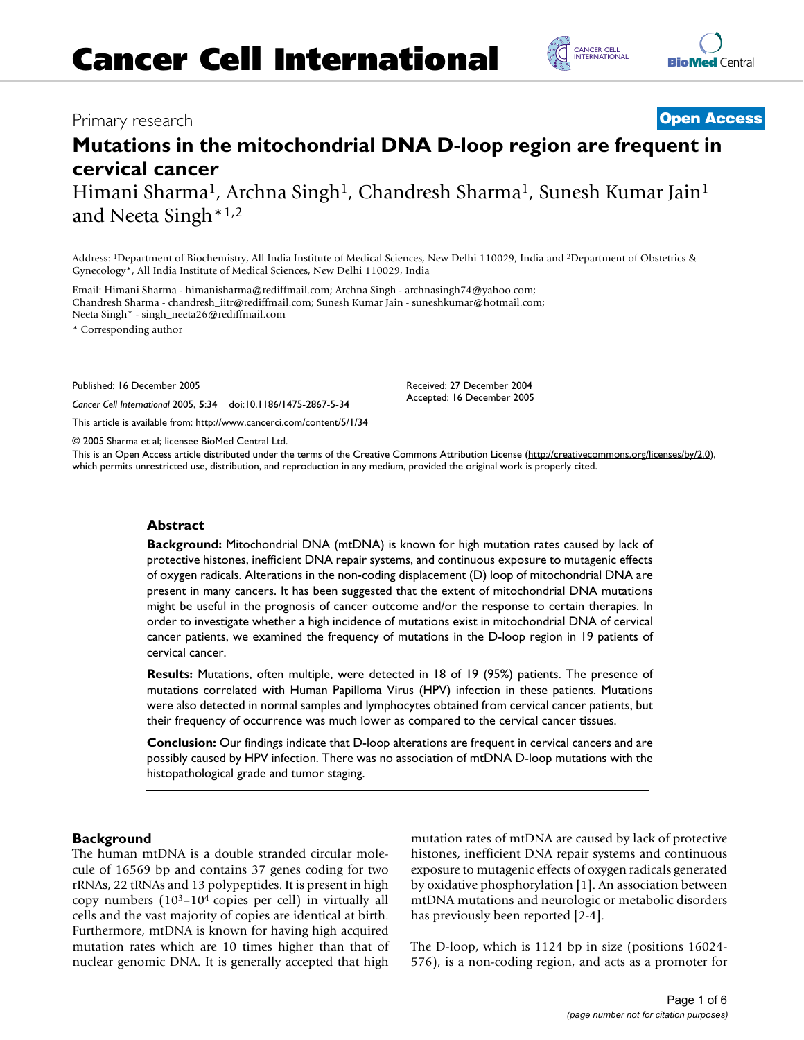# Primary research **[Open Access](http://www.biomedcentral.com/info/about/charter/)**

# **Mutations in the mitochondrial DNA D-loop region are frequent in cervical cancer**

Himani Sharma<sup>1</sup>, Archna Singh<sup>1</sup>, Chandresh Sharma<sup>1</sup>, Sunesh Kumar Jain<sup>1</sup> and Neeta Singh\*1,2

Address: 1Department of Biochemistry, All India Institute of Medical Sciences, New Delhi 110029, India and 2Department of Obstetrics & Gynecology\*, All India Institute of Medical Sciences, New Delhi 110029, India

Email: Himani Sharma - himanisharma@rediffmail.com; Archna Singh - archnasingh74@yahoo.com; Chandresh Sharma - chandresh\_iitr@rediffmail.com; Sunesh Kumar Jain - suneshkumar@hotmail.com; Neeta Singh\* - singh\_neeta26@rediffmail.com

\* Corresponding author

Published: 16 December 2005

*Cancer Cell International* 2005, **5**:34 doi:10.1186/1475-2867-5-34

[This article is available from: http://www.cancerci.com/content/5/1/34](http://www.cancerci.com/content/5/1/34)

© 2005 Sharma et al; licensee BioMed Central Ltd.

This is an Open Access article distributed under the terms of the Creative Commons Attribution License [\(http://creativecommons.org/licenses/by/2.0\)](http://creativecommons.org/licenses/by/2.0), which permits unrestricted use, distribution, and reproduction in any medium, provided the original work is properly cited.

#### **Abstract**

**Background:** Mitochondrial DNA (mtDNA) is known for high mutation rates caused by lack of protective histones, inefficient DNA repair systems, and continuous exposure to mutagenic effects of oxygen radicals. Alterations in the non-coding displacement (D) loop of mitochondrial DNA are present in many cancers. It has been suggested that the extent of mitochondrial DNA mutations might be useful in the prognosis of cancer outcome and/or the response to certain therapies. In order to investigate whether a high incidence of mutations exist in mitochondrial DNA of cervical cancer patients, we examined the frequency of mutations in the D-loop region in 19 patients of cervical cancer.

**Results:** Mutations, often multiple, were detected in 18 of 19 (95%) patients. The presence of mutations correlated with Human Papilloma Virus (HPV) infection in these patients. Mutations were also detected in normal samples and lymphocytes obtained from cervical cancer patients, but their frequency of occurrence was much lower as compared to the cervical cancer tissues.

**Conclusion:** Our findings indicate that D-loop alterations are frequent in cervical cancers and are possibly caused by HPV infection. There was no association of mtDNA D-loop mutations with the histopathological grade and tumor staging.

### **Background**

The human mtDNA is a double stranded circular molecule of 16569 bp and contains 37 genes coding for two rRNAs, 22 tRNAs and 13 polypeptides. It is present in high copy numbers  $(10^3 - 10^4)$  copies per cell) in virtually all cells and the vast majority of copies are identical at birth. Furthermore, mtDNA is known for having high acquired mutation rates which are 10 times higher than that of nuclear genomic DNA. It is generally accepted that high mutation rates of mtDNA are caused by lack of protective histones, inefficient DNA repair systems and continuous exposure to mutagenic effects of oxygen radicals generated by oxidative phosphorylation [1]. An association between mtDNA mutations and neurologic or metabolic disorders has previously been reported [2-4].

The D-loop, which is 1124 bp in size (positions 16024- 576), is a non-coding region, and acts as a promoter for



C [INTERNATIONAL](http://www.cancerci.com) CANCER CELL



Received: 27 December 2004 Accepted: 16 December 2005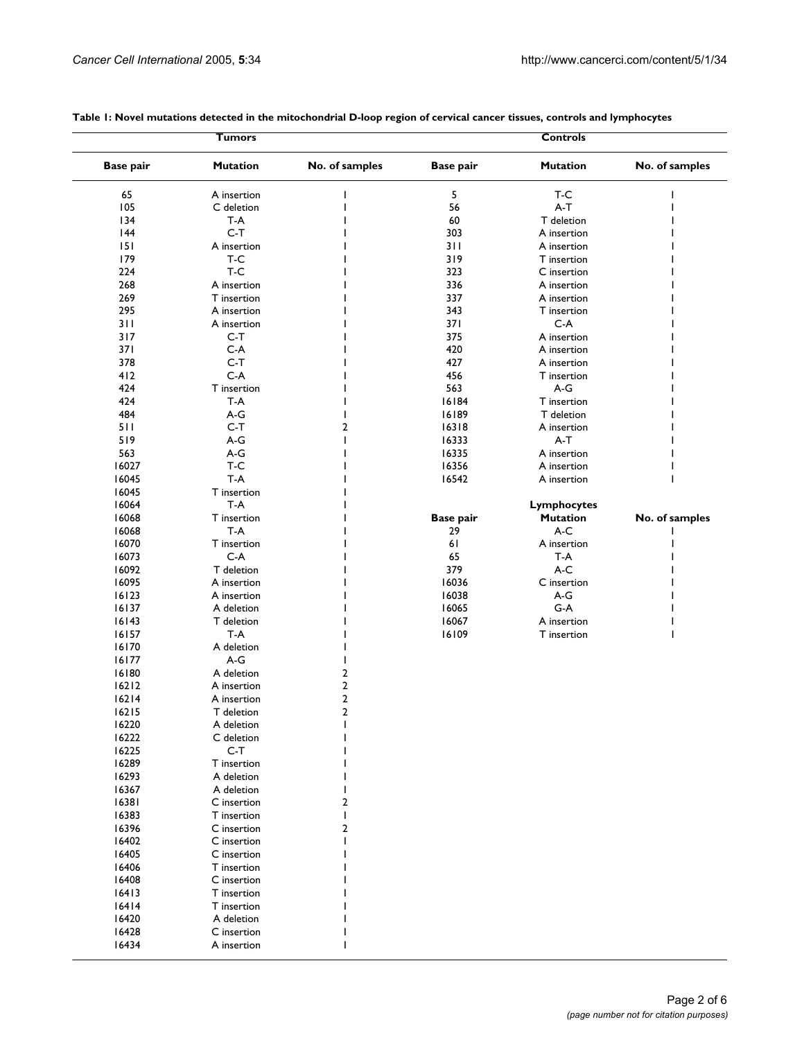|                  | Tumors                    |                                  |                  | <b>Controls</b>    |                |
|------------------|---------------------------|----------------------------------|------------------|--------------------|----------------|
| <b>Base pair</b> | <b>Mutation</b>           | No. of samples                   | <b>Base pair</b> | <b>Mutation</b>    | No. of samples |
| 65               | A insertion               |                                  | 5                | T-C                |                |
| 105              | C deletion                |                                  | 56               | $A-T$              |                |
| 134              | T-A                       |                                  | 60               | T deletion         |                |
| 144              | $C-T$                     |                                  | 303              | A insertion        |                |
| 151              | A insertion               |                                  | 311              | A insertion        |                |
| 179              | T-C                       |                                  | 319              | T insertion        |                |
| 224              | T-C                       |                                  | 323              | C insertion        |                |
| 268              | A insertion               |                                  | 336              | A insertion        |                |
| 269              | T insertion               |                                  | 337              | A insertion        |                |
| 295              | A insertion               |                                  | 343              | T insertion        |                |
| 311              | A insertion               |                                  | 37 I             | $C-A$              |                |
| 317              | $C-T$                     |                                  | 375              | A insertion        |                |
| 371              | $C-A$                     |                                  | 420              | A insertion        |                |
| 378              | $C-T$                     |                                  | 427              | A insertion        |                |
| 412              | $C-A$                     |                                  | 456              | T insertion        |                |
| 424              | T insertion               |                                  | 563              | $A-G$              |                |
| 424              | T-A                       |                                  | 16184            | T insertion        |                |
| 484              | A-G                       |                                  | 16189            | T deletion         |                |
| 511              | $C-T$                     | $\overline{2}$                   | 16318            | A insertion        |                |
| 519              | $A-G$                     |                                  | 16333            | $A-T$              |                |
| 563              | $A-G$                     |                                  | 16335            | A insertion        |                |
| 16027            | T-C                       |                                  | 16356            | A insertion        |                |
| 16045            | $T-A$                     |                                  | 16542            | A insertion        |                |
| 16045            | T insertion               |                                  |                  |                    |                |
| 16064            | T-A                       |                                  |                  | <b>Lymphocytes</b> |                |
| 16068            | T insertion               |                                  | <b>Base pair</b> | <b>Mutation</b>    | No. of samples |
| 16068            | T-A                       |                                  | 29               | A-C                |                |
| 16070            | T insertion               |                                  | 61               | A insertion        |                |
| 16073            | $C-A$                     |                                  | 65               | T-A                |                |
| 16092            | T deletion                |                                  | 379              | A-C                |                |
| 16095            | A insertion               |                                  | 16036            | C insertion        |                |
| 16123            | A insertion               |                                  | 16038            | A-G                |                |
| 16137            | A deletion                |                                  | 16065            | $G-A$              |                |
| 16143            | T deletion                |                                  | 16067            | A insertion        |                |
| 16157            | T-A                       |                                  | 16109            | T insertion        |                |
| 16170            | A deletion                |                                  |                  |                    |                |
| 16177            | A-G                       |                                  |                  |                    |                |
| 16180            | A deletion                | 2                                |                  |                    |                |
| $16212$          | A insertion               | $\overline{2}$                   |                  |                    |                |
| 16214            | A insertion               | $\overline{2}$<br>$\overline{2}$ |                  |                    |                |
| $16215$          | T deletion                |                                  |                  |                    |                |
| 16220            | A deletion<br>C deletion  |                                  |                  |                    |                |
| 16222<br>16225   | $C-T$                     |                                  |                  |                    |                |
| 16289            |                           |                                  |                  |                    |                |
|                  | T insertion               |                                  |                  |                    |                |
| 16293<br>16367   | A deletion<br>A deletion  |                                  |                  |                    |                |
| 16381            | C insertion               | 2                                |                  |                    |                |
| 16383            | T insertion               |                                  |                  |                    |                |
| 16396            | C insertion               | 2                                |                  |                    |                |
| 16402            | C insertion               |                                  |                  |                    |                |
| 16405            | C insertion               |                                  |                  |                    |                |
| 16406            | T insertion               |                                  |                  |                    |                |
| 16408            | C insertion               |                                  |                  |                    |                |
| 16413            | T insertion               |                                  |                  |                    |                |
|                  | T insertion               |                                  |                  |                    |                |
|                  |                           |                                  |                  |                    |                |
| 16414            |                           |                                  |                  |                    |                |
| 16420<br>16428   | A deletion<br>C insertion |                                  |                  |                    |                |

## **Table 1: Novel mutations detected in the mitochondrial D-loop region of cervical cancer tissues, controls and lymphocytes**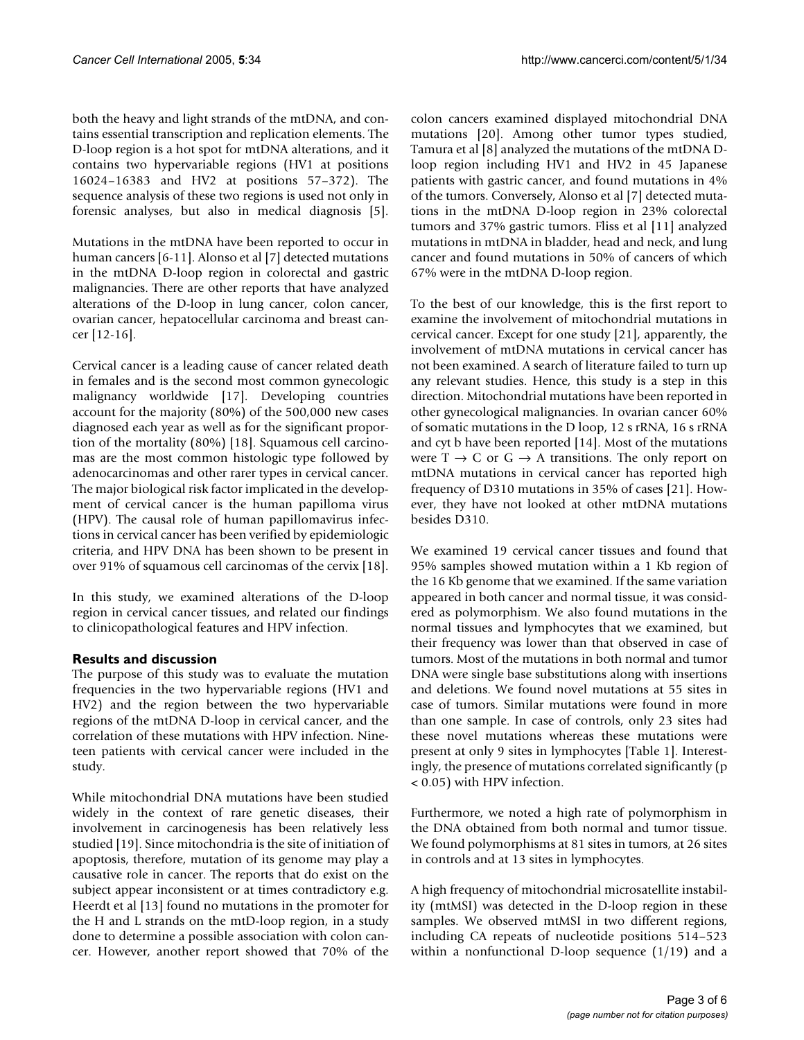both the heavy and light strands of the mtDNA, and contains essential transcription and replication elements. The D-loop region is a hot spot for mtDNA alterations, and it contains two hypervariable regions (HV1 at positions 16024–16383 and HV2 at positions 57–372). The sequence analysis of these two regions is used not only in forensic analyses, but also in medical diagnosis [5].

Mutations in the mtDNA have been reported to occur in human cancers [6-11]. Alonso et al [7] detected mutations in the mtDNA D-loop region in colorectal and gastric malignancies. There are other reports that have analyzed alterations of the D-loop in lung cancer, colon cancer, ovarian cancer, hepatocellular carcinoma and breast cancer [12-16].

Cervical cancer is a leading cause of cancer related death in females and is the second most common gynecologic malignancy worldwide [17]. Developing countries account for the majority (80%) of the 500,000 new cases diagnosed each year as well as for the significant proportion of the mortality (80%) [18]. Squamous cell carcinomas are the most common histologic type followed by adenocarcinomas and other rarer types in cervical cancer. The major biological risk factor implicated in the development of cervical cancer is the human papilloma virus (HPV). The causal role of human papillomavirus infections in cervical cancer has been verified by epidemiologic criteria, and HPV DNA has been shown to be present in over 91% of squamous cell carcinomas of the cervix [18].

In this study, we examined alterations of the D-loop region in cervical cancer tissues, and related our findings to clinicopathological features and HPV infection.

# **Results and discussion**

The purpose of this study was to evaluate the mutation frequencies in the two hypervariable regions (HV1 and HV2) and the region between the two hypervariable regions of the mtDNA D-loop in cervical cancer, and the correlation of these mutations with HPV infection. Nineteen patients with cervical cancer were included in the study.

While mitochondrial DNA mutations have been studied widely in the context of rare genetic diseases, their involvement in carcinogenesis has been relatively less studied [19]. Since mitochondria is the site of initiation of apoptosis, therefore, mutation of its genome may play a causative role in cancer. The reports that do exist on the subject appear inconsistent or at times contradictory e.g. Heerdt et al [13] found no mutations in the promoter for the H and L strands on the mtD-loop region, in a study done to determine a possible association with colon cancer. However, another report showed that 70% of the colon cancers examined displayed mitochondrial DNA mutations [20]. Among other tumor types studied, Tamura et al [8] analyzed the mutations of the mtDNA Dloop region including HV1 and HV2 in 45 Japanese patients with gastric cancer, and found mutations in 4% of the tumors. Conversely, Alonso et al [7] detected mutations in the mtDNA D-loop region in 23% colorectal tumors and 37% gastric tumors. Fliss et al [11] analyzed mutations in mtDNA in bladder, head and neck, and lung cancer and found mutations in 50% of cancers of which 67% were in the mtDNA D-loop region.

To the best of our knowledge, this is the first report to examine the involvement of mitochondrial mutations in cervical cancer. Except for one study [21], apparently, the involvement of mtDNA mutations in cervical cancer has not been examined. A search of literature failed to turn up any relevant studies. Hence, this study is a step in this direction. Mitochondrial mutations have been reported in other gynecological malignancies. In ovarian cancer 60% of somatic mutations in the D loop, 12 s rRNA, 16 s rRNA and cyt b have been reported [14]. Most of the mutations were  $T \rightarrow C$  or  $G \rightarrow A$  transitions. The only report on mtDNA mutations in cervical cancer has reported high frequency of D310 mutations in 35% of cases [21]. However, they have not looked at other mtDNA mutations besides D310.

We examined 19 cervical cancer tissues and found that 95% samples showed mutation within a 1 Kb region of the 16 Kb genome that we examined. If the same variation appeared in both cancer and normal tissue, it was considered as polymorphism. We also found mutations in the normal tissues and lymphocytes that we examined, but their frequency was lower than that observed in case of tumors. Most of the mutations in both normal and tumor DNA were single base substitutions along with insertions and deletions. We found novel mutations at 55 sites in case of tumors. Similar mutations were found in more than one sample. In case of controls, only 23 sites had these novel mutations whereas these mutations were present at only 9 sites in lymphocytes [Table 1]. Interestingly, the presence of mutations correlated significantly (p < 0.05) with HPV infection.

Furthermore, we noted a high rate of polymorphism in the DNA obtained from both normal and tumor tissue. We found polymorphisms at 81 sites in tumors, at 26 sites in controls and at 13 sites in lymphocytes.

A high frequency of mitochondrial microsatellite instability (mtMSI) was detected in the D-loop region in these samples. We observed mtMSI in two different regions, including CA repeats of nucleotide positions 514–523 within a nonfunctional D-loop sequence (1/19) and a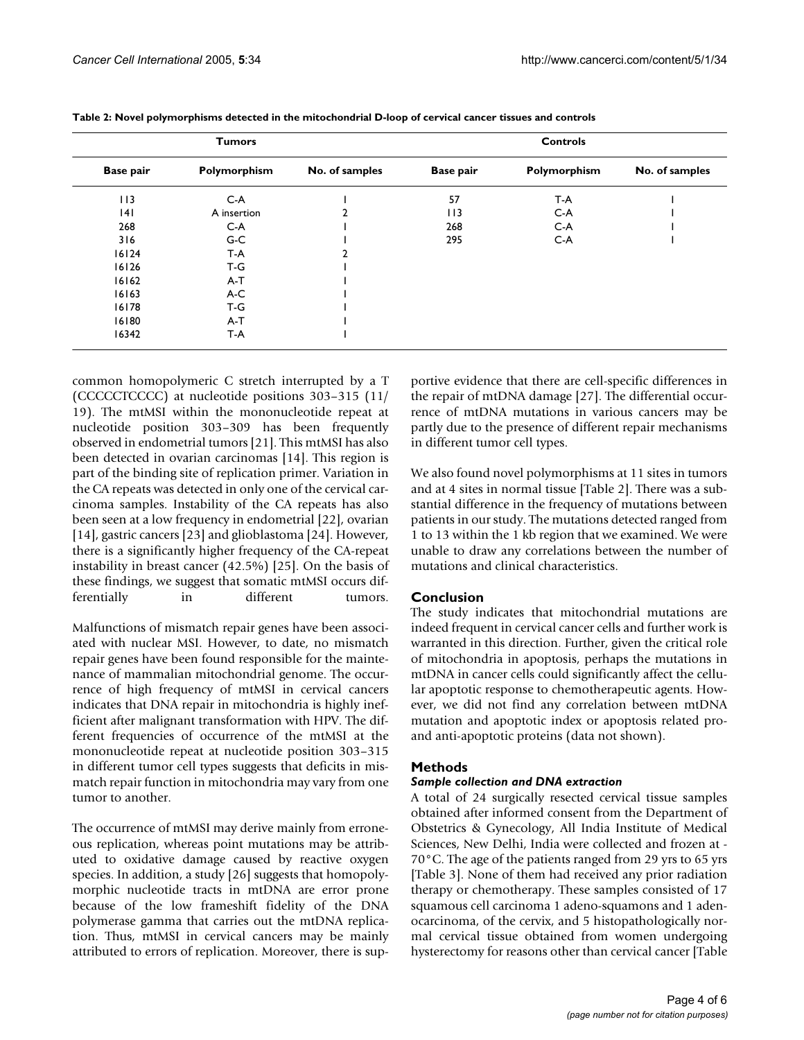| <b>Tumors</b>    |              |                | <b>Controls</b>  |              |                |
|------------------|--------------|----------------|------------------|--------------|----------------|
| <b>Base pair</b> | Polymorphism | No. of samples | <b>Base pair</b> | Polymorphism | No. of samples |
| 113              | $C-A$        |                | 57               | T-A          |                |
| 4                | A insertion  |                | 113              | $C-A$        |                |
| 268              | $C-A$        |                | 268              | $C-A$        |                |
| 316              | $G-C$        |                | 295              | $C-A$        |                |
| 16124            | T-A          |                |                  |              |                |
| 16126            | T-G          |                |                  |              |                |
| 16162            | $A-T$        |                |                  |              |                |
| 16163            | $A-C$        |                |                  |              |                |
| 16178            | T-G          |                |                  |              |                |
| 16180            | $A-T$        |                |                  |              |                |
| 16342            | T-A          |                |                  |              |                |

| Table 2: Novel polymorphisms detected in the mitochondrial D-loop of cervical cancer tissues and controls |  |  |
|-----------------------------------------------------------------------------------------------------------|--|--|
|                                                                                                           |  |  |

common homopolymeric C stretch interrupted by a T (CCCCCTCCCC) at nucleotide positions 303–315 (11/ 19). The mtMSI within the mononucleotide repeat at nucleotide position 303–309 has been frequently observed in endometrial tumors [21]. This mtMSI has also been detected in ovarian carcinomas [14]. This region is part of the binding site of replication primer. Variation in the CA repeats was detected in only one of the cervical carcinoma samples. Instability of the CA repeats has also been seen at a low frequency in endometrial [22], ovarian [14], gastric cancers [23] and glioblastoma [24]. However, there is a significantly higher frequency of the CA-repeat instability in breast cancer (42.5%) [25]. On the basis of these findings, we suggest that somatic mtMSI occurs differentially in different tumors.

Malfunctions of mismatch repair genes have been associated with nuclear MSI. However, to date, no mismatch repair genes have been found responsible for the maintenance of mammalian mitochondrial genome. The occurrence of high frequency of mtMSI in cervical cancers indicates that DNA repair in mitochondria is highly inefficient after malignant transformation with HPV. The different frequencies of occurrence of the mtMSI at the mononucleotide repeat at nucleotide position 303–315 in different tumor cell types suggests that deficits in mismatch repair function in mitochondria may vary from one tumor to another.

The occurrence of mtMSI may derive mainly from erroneous replication, whereas point mutations may be attributed to oxidative damage caused by reactive oxygen species. In addition, a study [26] suggests that homopolymorphic nucleotide tracts in mtDNA are error prone because of the low frameshift fidelity of the DNA polymerase gamma that carries out the mtDNA replication. Thus, mtMSI in cervical cancers may be mainly attributed to errors of replication. Moreover, there is supportive evidence that there are cell-specific differences in the repair of mtDNA damage [27]. The differential occurrence of mtDNA mutations in various cancers may be partly due to the presence of different repair mechanisms in different tumor cell types.

We also found novel polymorphisms at 11 sites in tumors and at 4 sites in normal tissue [Table 2]. There was a substantial difference in the frequency of mutations between patients in our study. The mutations detected ranged from 1 to 13 within the 1 kb region that we examined. We were unable to draw any correlations between the number of mutations and clinical characteristics.

# **Conclusion**

The study indicates that mitochondrial mutations are indeed frequent in cervical cancer cells and further work is warranted in this direction. Further, given the critical role of mitochondria in apoptosis, perhaps the mutations in mtDNA in cancer cells could significantly affect the cellular apoptotic response to chemotherapeutic agents. However, we did not find any correlation between mtDNA mutation and apoptotic index or apoptosis related proand anti-apoptotic proteins (data not shown).

# **Methods**

# *Sample collection and DNA extraction*

A total of 24 surgically resected cervical tissue samples obtained after informed consent from the Department of Obstetrics & Gynecology, All India Institute of Medical Sciences, New Delhi, India were collected and frozen at - 70°C. The age of the patients ranged from 29 yrs to 65 yrs [Table 3]. None of them had received any prior radiation therapy or chemotherapy. These samples consisted of 17 squamous cell carcinoma 1 adeno-squamons and 1 adenocarcinoma, of the cervix, and 5 histopathologically normal cervical tissue obtained from women undergoing hysterectomy for reasons other than cervical cancer [Table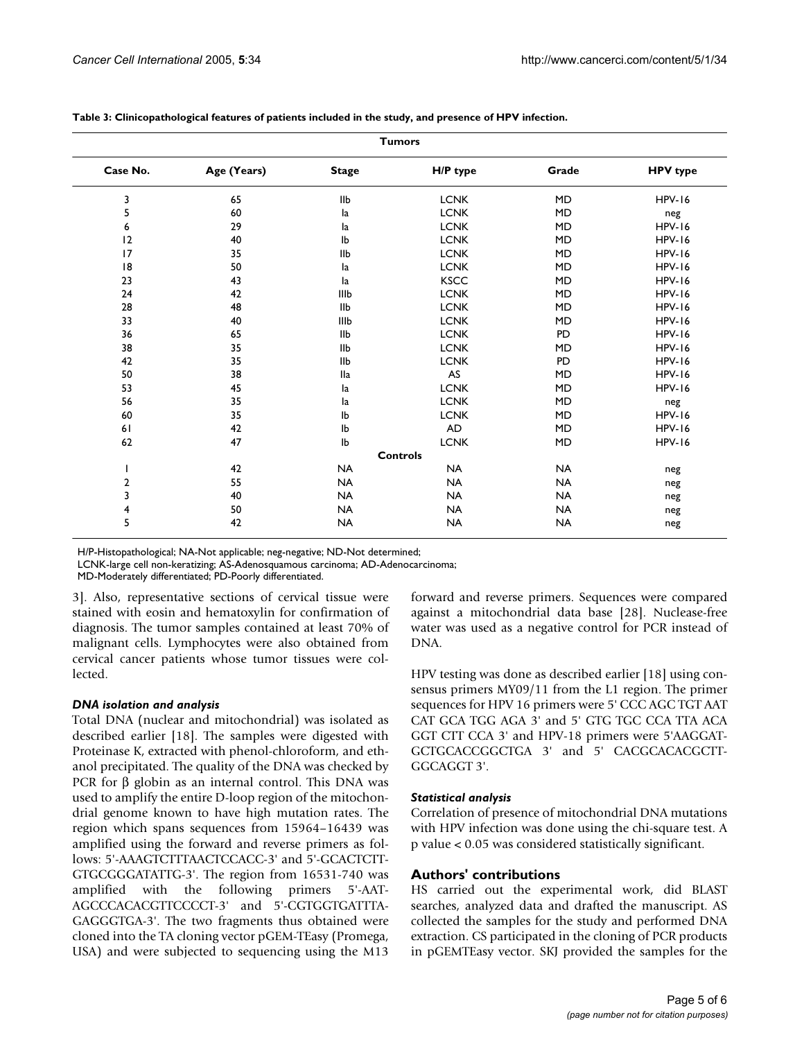|          |             |              | <b>Tumors</b>   |           |                 |
|----------|-------------|--------------|-----------------|-----------|-----------------|
| Case No. | Age (Years) | <b>Stage</b> | H/P type        | Grade     | <b>HPV</b> type |
| 3        | 65          | IIb          | <b>LCNK</b>     | <b>MD</b> | <b>HPV-16</b>   |
| 5        | 60          | la           | <b>LCNK</b>     | <b>MD</b> | neg             |
| 6        | 29          | la           | <b>LCNK</b>     | <b>MD</b> | <b>HPV-16</b>   |
| 12       | 40          | Ib           | <b>LCNK</b>     | <b>MD</b> | <b>HPV-16</b>   |
| 17       | 35          | IIb          | <b>LCNK</b>     | <b>MD</b> | <b>HPV-16</b>   |
| 8        | 50          | la           | <b>LCNK</b>     | <b>MD</b> | <b>HPV-16</b>   |
| 23       | 43          | la           | <b>KSCC</b>     | <b>MD</b> | <b>HPV-16</b>   |
| 24       | 42          | IIIb         | <b>LCNK</b>     | <b>MD</b> | <b>HPV-16</b>   |
| 28       | 48          | <b>IIb</b>   | <b>LCNK</b>     | <b>MD</b> | <b>HPV-16</b>   |
| 33       | 40          | IIIb         | <b>LCNK</b>     | <b>MD</b> | <b>HPV-16</b>   |
| 36       | 65          | IIb          | <b>LCNK</b>     | PD        | <b>HPV-16</b>   |
| 38       | 35          | IIb          | <b>LCNK</b>     | <b>MD</b> | <b>HPV-16</b>   |
| 42       | 35          | IIb          | <b>LCNK</b>     | PD        | <b>HPV-16</b>   |
| 50       | 38          | lla          | AS              | <b>MD</b> | <b>HPV-16</b>   |
| 53       | 45          | la           | <b>LCNK</b>     | <b>MD</b> | <b>HPV-16</b>   |
| 56       | 35          | la           | <b>LCNK</b>     | <b>MD</b> | neg             |
| 60       | 35          | Ib           | <b>LCNK</b>     | <b>MD</b> | <b>HPV-16</b>   |
| 61       | 42          | Ib           | <b>AD</b>       | <b>MD</b> | <b>HPV-16</b>   |
| 62       | 47          | Ib           | <b>LCNK</b>     | <b>MD</b> | <b>HPV-16</b>   |
|          |             |              | <b>Controls</b> |           |                 |
|          | 42          | <b>NA</b>    | <b>NA</b>       | <b>NA</b> | neg             |
| 2        | 55          | <b>NA</b>    | <b>NA</b>       | <b>NA</b> | neg             |
| 3        | 40          | <b>NA</b>    | <b>NA</b>       | <b>NA</b> | neg             |
| 4        | 50          | <b>NA</b>    | <b>NA</b>       | <b>NA</b> | neg             |
| 5        | 42          | <b>NA</b>    | <b>NA</b>       | <b>NA</b> | neg             |

**Table 3: Clinicopathological features of patients included in the study, and presence of HPV infection.**

H/P-Histopathological; NA-Not applicable; neg-negative; ND-Not determined;

LCNK-large cell non-keratizing; AS-Adenosquamous carcinoma; AD-Adenocarcinoma;

MD-Moderately differentiated; PD-Poorly differentiated.

3]. Also, representative sections of cervical tissue were stained with eosin and hematoxylin for confirmation of diagnosis. The tumor samples contained at least 70% of malignant cells. Lymphocytes were also obtained from cervical cancer patients whose tumor tissues were collected.

### *DNA isolation and analysis*

Total DNA (nuclear and mitochondrial) was isolated as described earlier [18]. The samples were digested with Proteinase K, extracted with phenol-chloroform, and ethanol precipitated. The quality of the DNA was checked by PCR for  $β$  globin as an internal control. This DNA was used to amplify the entire D-loop region of the mitochondrial genome known to have high mutation rates. The region which spans sequences from 15964–16439 was amplified using the forward and reverse primers as follows: 5'-AAAGTCTTTAACTCCACC-3' and 5'-GCACTCTT-GTGCGGGATATTG-3'. The region from 16531-740 was amplified with the following primers 5'-AAT-AGCCCACACGTTCCCCT-3' and 5'-CGTGGTGATTTA-GAGGGTGA-3'. The two fragments thus obtained were cloned into the TA cloning vector pGEM-TEasy (Promega, USA) and were subjected to sequencing using the M13

forward and reverse primers. Sequences were compared against a mitochondrial data base [28]. Nuclease-free water was used as a negative control for PCR instead of DNA.

HPV testing was done as described earlier [18] using consensus primers MY09/11 from the L1 region. The primer sequences for HPV 16 primers were 5' CCC AGC TGT AAT CAT GCA TGG AGA 3' and 5' GTG TGC CCA TTA ACA GGT CTT CCA 3' and HPV-18 primers were 5'AAGGAT-GCTGCACCGGCTGA 3' and 5' CACGCACACGCTT-GGCAGGT 3'.

### *Statistical analysis*

Correlation of presence of mitochondrial DNA mutations with HPV infection was done using the chi-square test. A p value < 0.05 was considered statistically significant.

# **Authors' contributions**

HS carried out the experimental work, did BLAST searches, analyzed data and drafted the manuscript. AS collected the samples for the study and performed DNA extraction. CS participated in the cloning of PCR products in pGEMTEasy vector. SKJ provided the samples for the